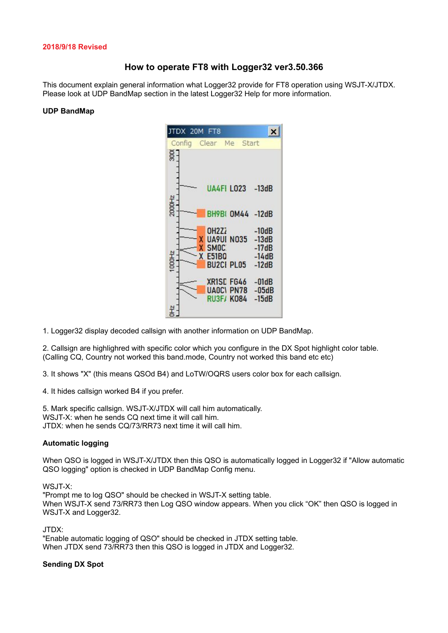#### **2018/9/18 Revised**

# **How to operate FT8 with Logger32 ver3.50.366**

This document explain general information what Logger32 provide for FT8 operation using WSJT-X/JTDX. Please look at UDP BandMap section in the latest Logger32 Help for more information.

#### **UDP BandMap**

|             | DX 20M |  | FT8               |                       |                    |  |
|-------------|--------|--|-------------------|-----------------------|--------------------|--|
|             |        |  |                   | Config Clear Me Start |                    |  |
| $rac{1}{2}$ |        |  |                   |                       |                    |  |
|             |        |  |                   |                       |                    |  |
|             |        |  |                   |                       |                    |  |
|             |        |  |                   |                       | UA4FI LO23 -13dB   |  |
| 2000Hz      |        |  |                   |                       |                    |  |
|             |        |  |                   |                       | BH9B(0M44 -12dB    |  |
|             |        |  |                   |                       |                    |  |
|             |        |  | OH <sub>2</sub> Z | <b>UA9UI N035</b>     | $-10dB$<br>$-13dB$ |  |
|             |        |  | SMOC:             |                       | $-17dB$            |  |
| 1000Hz      |        |  | X E51BQ           |                       | $-14dB$            |  |
|             |        |  |                   | <b>BU2CI PL05</b>     | $-12dB$            |  |
|             |        |  |                   | XR1SC FG46            | $-01dB$            |  |
|             |        |  |                   | <b>UAOCI PN78</b>     | $-05dB$            |  |
|             |        |  |                   | <b>RU3F/K084</b>      | $-15dB$            |  |
|             |        |  |                   |                       |                    |  |

1. Logger32 display decoded callsign with another information on UDP BandMap.

2. Callsign are highlighred with specific color which you configure in the DX Spot highlight color table. (Calling CQ, Country not worked this band.mode, Country not worked this band etc etc)

3. It shows "X" (this means QSOd B4) and LoTW/OQRS users color box for each callsign.

4. It hides callsign worked B4 if you prefer.

5. Mark specific callsign. WSJT-X/JTDX will call him automatically. WSJT-X: when he sends CQ next time it will call him. JTDX: when he sends CQ/73/RR73 next time it will call him.

#### **Automatic logging**

When QSO is logged in WSJT-X/JTDX then this QSO is automatically logged in Logger32 if "Allow automatic QSO logging" option is checked in UDP BandMap Config menu.

WSJT-X:

"Prompt me to log QSO" should be checked in WSJT-X setting table. When WSJT-X send 73/RR73 then Log QSO window appears. When you click "OK" then QSO is logged in WSJT-X and Logger32.

JTDX:

"Enable automatic logging of QSO" should be checked in JTDX setting table. When JTDX send 73/RR73 then this QSO is logged in JTDX and Logger32.

## **Sending DX Spot**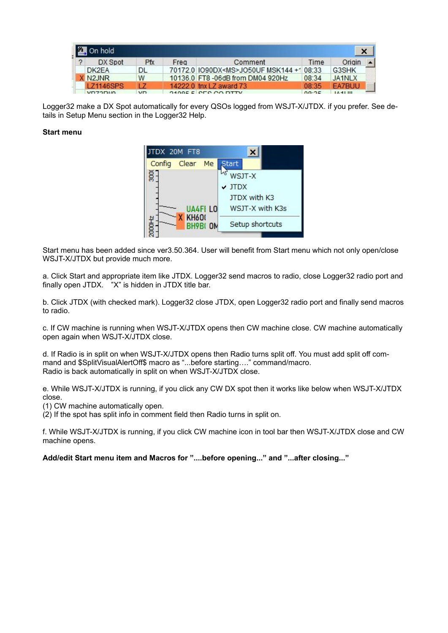| On hold |                  |     |      |                                         |       |                     |  |
|---------|------------------|-----|------|-----------------------------------------|-------|---------------------|--|
|         | DX Spot          | Pfx | Freq | Comment                                 | Time  | Origin              |  |
|         | DK2FA            | DL  |      | 70172.0 IO90DX <ms>JO50UF MSK144+1</ms> | 08:33 | G3SHK               |  |
|         | X N2.INR         | w   |      | 10136.0 FT8 -06dB from DM04 920Hz       | 08:34 | JA <sub>1</sub> NLX |  |
|         | <b>LZ1146SPS</b> |     |      | 14222.0 tnx LZ award 73                 | 08:35 | <b>EA7BUU</b>       |  |
|         | VDZODIA          | VD  |      | <b>2400E ELOED CO DTTV</b>              | 00.25 | <b>IA41 III</b>     |  |

Logger32 make a DX Spot automatically for every QSOs logged from WSJT-X/JTDX. if you prefer. See details in Setup Menu section in the Logger32 Help.

### **Start menu**

| TDX 20M FT8                              |                 |  |  |
|------------------------------------------|-----------------|--|--|
| Clear Me<br>Config                       | <b>Start</b>    |  |  |
| $\overline{5}$                           | WSJT-X          |  |  |
|                                          | $\vee$ JTDX     |  |  |
|                                          | JTDX with K3    |  |  |
| <b>UA4FILO</b>                           | WSJT-X with K3s |  |  |
| <b>KH600</b><br>흉<br>BH9BI <sub>OM</sub> | Setup shortcuts |  |  |
|                                          |                 |  |  |

Start menu has been added since ver3.50.364. User will benefit from Start menu which not only open/close WSJT-X/JTDX but provide much more.

a. Click Start and appropriate item like JTDX. Logger32 send macros to radio, close Logger32 radio port and finally open JTDX. "X" is hidden in JTDX title bar.

b. Click JTDX (with checked mark). Logger32 close JTDX, open Logger32 radio port and finally send macros to radio.

c. If CW machine is running when WSJT-X/JTDX opens then CW machine close. CW machine automatically open again when WSJT-X/JTDX close.

d. If Radio is in split on when WSJT-X/JTDX opens then Radio turns split off. You must add split off command and \$SplitVisualAlertOff\$ macro as "...before starting…." command/macro. Radio is back automatically in split on when WSJT-X/JTDX close.

e. While WSJT-X/JTDX is running, if you click any CW DX spot then it works like below when WSJT-X/JTDX close.

(1) CW machine automatically open.

(2) If the spot has split info in comment field then Radio turns in split on.

f. While WSJT-X/JTDX is running, if you click CW machine icon in tool bar then WSJT-X/JTDX close and CW machine opens.

**Add/edit Start menu item and Macros for "....before opening..." and "...after closing..."**